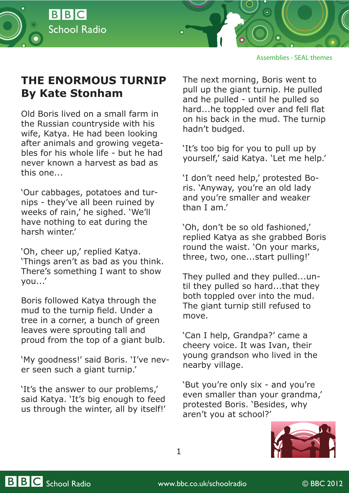

Assemblies - SEAL themes

## **THE ENORMOUS TURNIP By Kate Stonham**

Old Boris lived on a small farm in the Russian countryside with his wife, Katya. He had been looking after animals and growing vegetables for his whole life - but he had never known a harvest as bad as this one...

'Our cabbages, potatoes and turnips - they've all been ruined by weeks of rain,' he sighed. 'We'll have nothing to eat during the harsh winter.'

'Oh, cheer up,' replied Katya. 'Things aren't as bad as you think. There's something I want to show you...'

Boris followed Katya through the mud to the turnip field. Under a tree in a corner, a bunch of green leaves were sprouting tall and proud from the top of a giant bulb.

'My goodness!' said Boris. 'I've never seen such a giant turnip.'

'It's the answer to our problems,' said Katya. 'It's big enough to feed us through the winter, all by itself!' The next morning, Boris went to pull up the giant turnip. He pulled and he pulled - until he pulled so hard...he toppled over and fell flat on his back in the mud. The turnip hadn't budged.

'It's too big for you to pull up by yourself,' said Katya. 'Let me help.'

'I don't need help,' protested Boris. 'Anyway, you're an old lady and you're smaller and weaker than I am.'

'Oh, don't be so old fashioned,' replied Katya as she grabbed Boris round the waist. 'On your marks, three, two, one...start pulling!'

They pulled and they pulled...until they pulled so hard...that they both toppled over into the mud. The giant turnip still refused to move.

'Can I help, Grandpa?' came a cheery voice. It was Ivan, their young grandson who lived in the nearby village.

'But you're only six - and you're even smaller than your grandma,' protested Boris. 'Besides, why aren't you at school?'

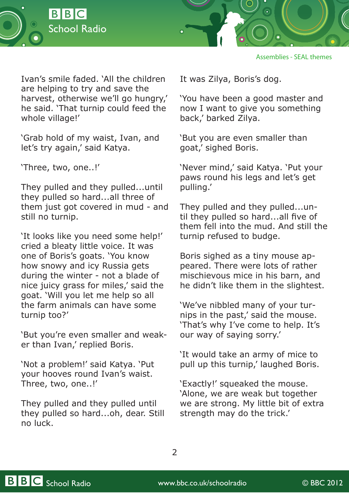



Assemblies - SEAL themes

Ivan's smile faded. 'All the children are helping to try and save the harvest, otherwise we'll go hungry,' he said. 'That turnip could feed the whole village!'

'Grab hold of my waist, Ivan, and let's try again,' said Katya.

'Three, two, one..!'

They pulled and they pulled...until they pulled so hard...all three of them just got covered in mud - and still no turnip.

'It looks like you need some help!' cried a bleaty little voice. It was one of Boris's goats. 'You know how snowy and icy Russia gets during the winter - not a blade of nice juicy grass for miles,' said the goat. 'Will you let me help so all the farm animals can have some turnip too?'

'But you're even smaller and weaker than Ivan,' replied Boris.

'Not a problem!' said Katya. 'Put your hooves round Ivan's waist. Three, two, one..!'

They pulled and they pulled until they pulled so hard...oh, dear. Still no luck.

It was Zilya, Boris's dog.

'You have been a good master and now I want to give you something back,' barked Zilya.

'But you are even smaller than goat,' sighed Boris.

'Never mind,' said Katya. 'Put your paws round his legs and let's get pulling.'

They pulled and they pulled...until they pulled so hard...all five of them fell into the mud. And still the turnip refused to budge.

Boris sighed as a tiny mouse appeared. There were lots of rather mischievous mice in his barn, and he didn't like them in the slightest.

'We've nibbled many of your turnips in the past,' said the mouse. 'That's why I've come to help. It's our way of saying sorry.'

'It would take an army of mice to pull up this turnip,' laughed Boris.

'Exactly!' squeaked the mouse. 'Alone, we are weak but together we are strong. My little bit of extra strength may do the trick.'